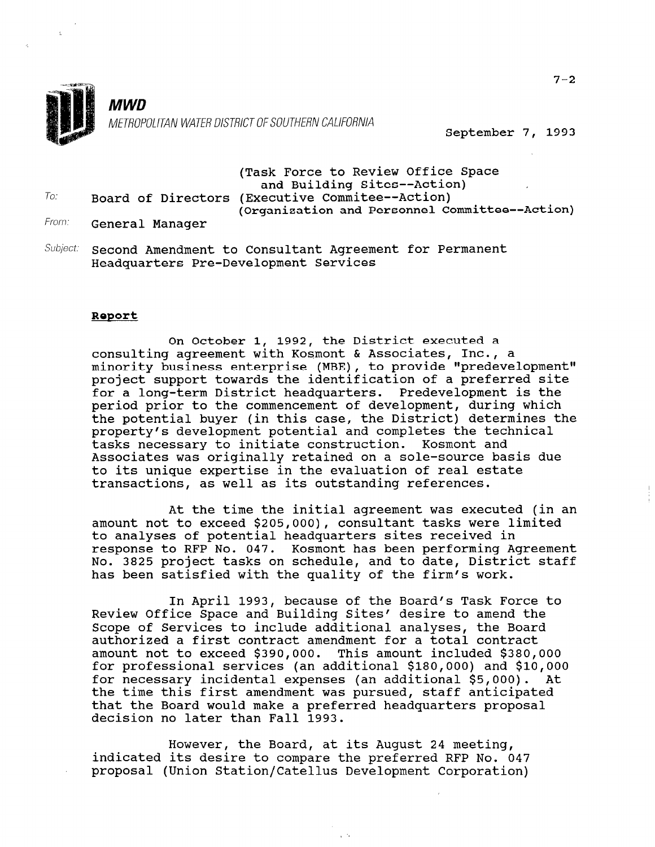

**MWD** METROPOLITAN WATER DISTRICT OF SOUTHERN CALIFORNIA

September 7, 1993

# (Task Force to Review Office Space and Building Sites--Action)  $T_{0i}$  Board of Directors (Executive Commitee--Action) (Organization and Personnel Committee--Action)

- From: General Manager
- Subject: Second Amendment to Consultant Agreement for Permanent Headquarters Pre-Development Services

#### Report

On October 1, 1992, the District executed a consulting agreement with Kosmont & Associates, Inc., a ochbarcing agreement wren herment a hirroriacce, rure, a<br>minority business enterprise (MBE), to provide "predevelopme miniting subiness eneargings (nsa), as gravitate premericing<br>project support towards the identification of a preferred sit for a long-term District headquarters. Predevelopment is the period prior to the commencement of development, during which the potential buyer (in this case, the District) determines the property's development potential and completes the technical tasks necessary to initiate construction. Kosmont and Associates was originally retained on a sole-source basis due to its unique expertise in the evaluation of real estate transactions, as well as its outstanding references.

At the time the initial agreement was executed (in an amount not to exceed \$205,000), consultant tasks were limited to analyses of potential headquarters sites received in response to RFP No. 047. Kosmont has been performing Agreement No. 3825 project tasks on schedule, and to date, District staff has been satisfied with the quality of the firm's work.

In April 1993, because of the Board's Task Force to Review Office Space and Building Sites' desire to amend the Scope of Services to include additional analyses, the Board authorized a first contract amendment for a total contractive authorized a first contract amendment for a total contract amount not to exceed \$390,000. This amount included \$380,000 for professional services (an additional  $$180,000$ ) and  $$10,000$ for necessary incidental expenses (an additional  $$5,000$ ). At the time this first amendment was pursued, staff anticipated that the Board would make a preferred headquarters proposal<br>decision no later than Fall 1993.

However, the Board, at its August 24 meeting, indicated its August 24 meeting, indicated its desire to compare the preferred RFP No. 047<br>proposal (Union Station/Catellus Development Corporation)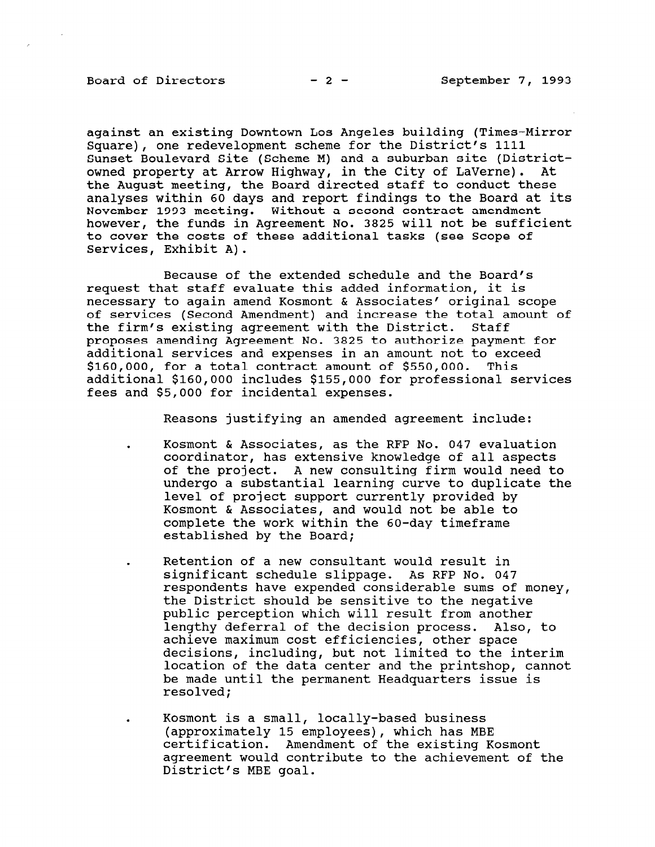against an existing Downtown Los Angeles building (Times-Mirror Square), one redevelopment scheme for the District's 1111 Sunset Boulevard Site (Scheme M) and a suburban site (Districtowned property at Arrow Highway, in the City of LaVerne). At the August meeting, the Board directed staff to conduct these analyses within 60 days and report findings to the Board at its November 1993 meeting. Without a second contract amendment however, the funds in Agreement No. 3825 will not be sufficient to cover the costs of these additional tasks (see Scope of Services, Exhibit A).

Because of the extended schedule and the Board's request that staff evaluate this added information, it is necessary to again amend Kosmont & Associates' original scope of services (Second Amendment) and increase the total amount of the firm's existing agreement with the District. Staff proposes amending Agreement No. 3825 to authorize payment for additional services and expenses in an amount not to exceed \$160,000, for a total contract amount of \$550,000. This additional \$160,000 includes \$155,000 for professional services fees and \$5,000 for incidental expenses.

Reasons justifying an amended agreement include:

Kosmont & Associates, as the RFP No. 047 evaluation coordinator, has extensive knowledge of all aspects of the project. A new consulting firm would need to undergo a substantial learning curve to duplicate the level of project support currently provided by Kosmont & Associates, and would not be able to complete the work within the 60-day timeframe established by the Board;

. Retention of a new consultant would result in significant schedule slippage. As RFP No. 047 respondents have expended considerable sums of money, the District should be sensitive to the negative public perception which will result from another lengthy deferral of the decision process. Also, to achieve maximum cost efficiencies, other space achieve maximum cost efficiencies, other space decisions, including, but not limited to the interim location of the data center and the printshop, cannot be made until the permanent Headquarters issue is resolved:

. Kosmont is a small, locally-based business (approved to a small, locally-pased business), which has MBE (approximately 15 employees), which has MBE certification. Amendment of the existing Kosmont agreement would contribute to the achievement of the District's MBE goal.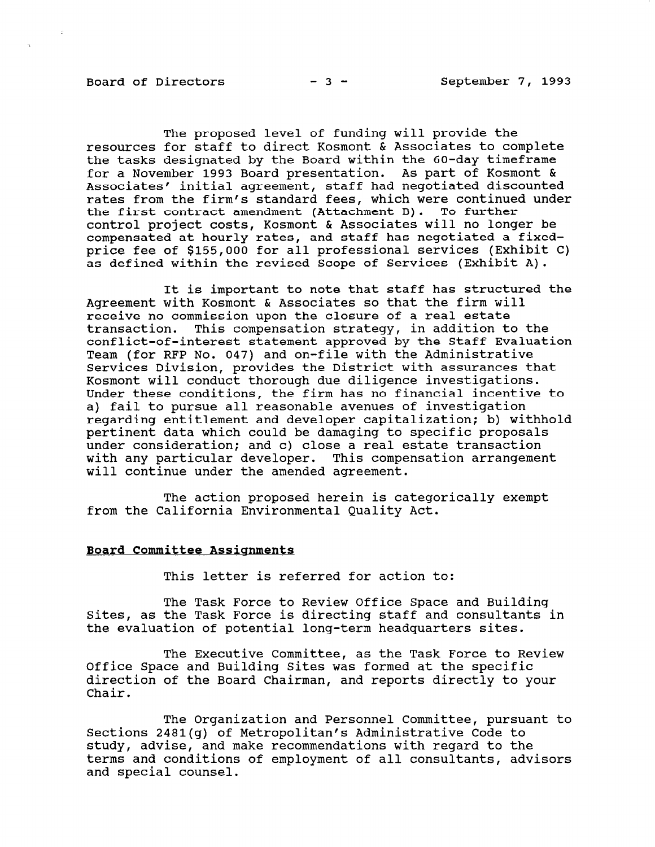Board of Directors  $-3$  - September 7, 1993

The proposed level of funding will provide the resources for staff to direct Kosmont & Associates to complete the tasks designated by the Board within the 60-day timeframe for a November 1993 Board presentation. As part of Kosmont & Associates' initial agreement, staff had negotiated discount rates from the firm's standard fees, which were continued under the first contract amendment (Attachment B). To further control project costs, Kosmont & Associates will no longer be compensated at hourly rates, and staff has negotiated a fixedprice fee of \$155,000 for all professional services (Exhibit C) as defined within the revised Scope of Services (Exhibit A).

It is important to note that staff has structured the Agreement with Kosmont & Associates so that the firm will receive no commission upon the closure of a real estate transaction. This compensation strategy, in addition to the conflict-of-interest statement approved by the Staff Evaluation Team (for RFP No. 047) and on-file with the Administrative Services Division, provides the District with assurances that Kosmont will conduct thorough due diligence investigations. Under these conditions, the firm has no financial incentive to a) fail to pursue all reasonable avenues of investigation regarding entitlement and developer capitalization; b) withhold pertinent data which could be damaging to specific proposals under consideration; and c) close a real estate transaction with any particular developer. This compensation arrangement will continue under the amended agreement.

The action proposed herein is categorically exempt from the California Environmental Quality Act.

#### Board Committee Assignments

This letter is referred for action to:

The Task Force to Review Office Space and Building Sites, as the Task Force is directing staff and consultants in the evaluation of potential long-term headquarters sites.

The Executive Committee, as the Task Force to Review THE EXECULTVE COMMITTEE, AS THE IASK FOLCE CO direct space and building sites was formed at the specific direction of the Board Chairman, and reports directly to your Chair.

The Organization and Personnel Committee, pursuant to The Organization and Personnel Committee, pursu Sections 2481(g) of Metropolitan's Administrative Code to study, advise, and make recommendations with regard to the terms and conditions of employment of all consultants, advisors and special counsel.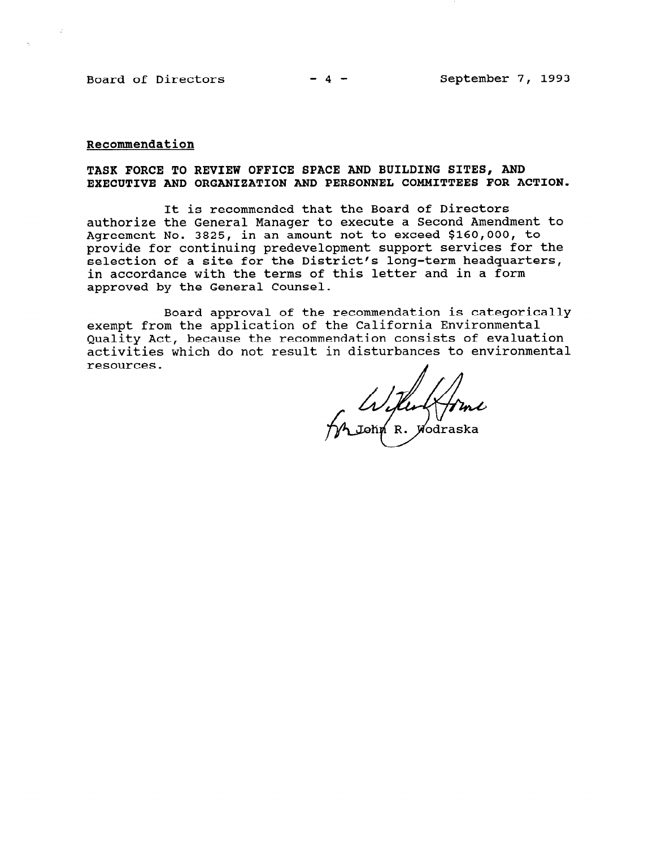#### Recommendation

### TASK FORCE TO REVIEW OFFICE SPACE AND BUILDING SITES, AND EXECUTIVE AND ORGANIZATION AND PERSONNEL COMMITTEES FOR ACTION.

It is recommended that the Board of Directors authorize the General Manager to execute a Second Amendment to Agreement No. 3825, in an amount not to exceed \$160,000, to provide for continuing predevelopment support services for the selection of a site for the District's long-term headquarters, in accordance with the terms of this letter and in a form approved by the General Counsel.

Board approval of the recommendation is categorically exempt from the application of the California Environmental Quality Act, because the recommendation consists of evaluation activities which do not result in disturbances to environmental resources.

flu (fime<br>p R. Wodraska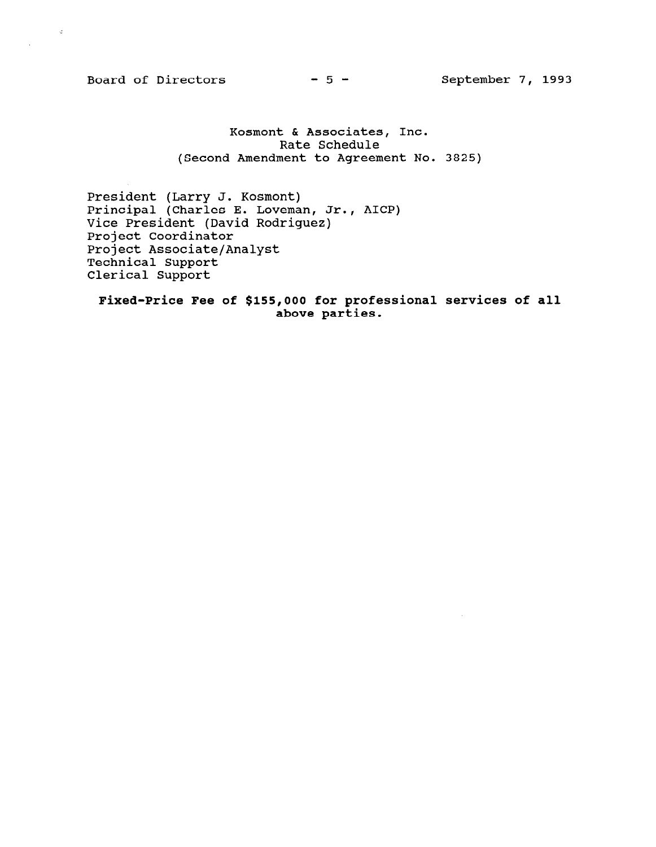Board of Directors  $-5$  - September 7, 1993

 $\langle \phi \rangle$ 

 $\mathcal{L}_{\mathcal{A}}$ 

Kosmont & Associates, Inc. Rate Schedule (Second Amendment to Agreement No. 3825)

President (Larry J. Kosmont) Principal (Charles E. Loveman, Jr., AICP) Vice President (David Rodriguez) Project Coordinator Project Associate/Analyst Technical Support Clerical Support

Fixed-Price Fee of \$155,000 for professional services of all above parties.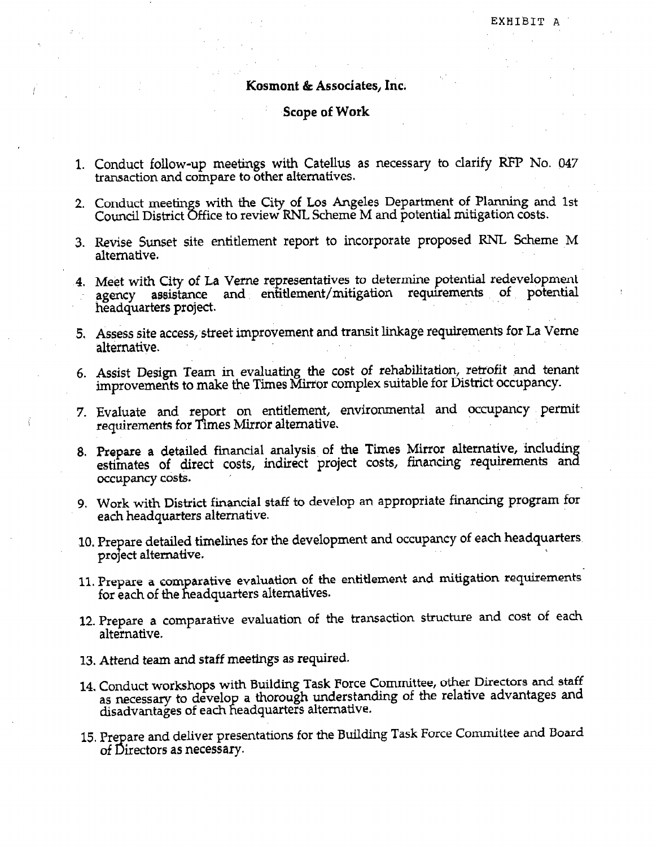### Kosmont & Associates, Inc.

# Scope of Work

- 1. Conduct follow-up meetings with Catellus as necessary to clarify RFP No. 047 transaction and compare to other alternatives.
- 2. Conduct meetings with the City of Los Angeles Department of Planning and 1st Council District Office to review RNL Scheme M and potential mitigation costs.
- 3. Revise Sunset site entitlement report to incorporate proposed RNL Scheme M alternative.
- 4. Meet with City of La Verne representatives to determine potential redevelopme agency assistance and entitlement/mitigation requirements of potential headquarters project.
- 5. Assess site access;street improvement and transit linkage requirements for. La Verne alternative.
- 6. Assist Design Team in evaluating the cost of rehabilitation, retrofit and tenant improvements to make the Times Mirror complex suitable for District occupancy.
- 7 Evaluate and report on entitlement, environmental and occupancy permi  $r_{\text{re} \rightarrow \text{r}}$  requirements for Times Mirror alternative.
- 8. Prepare a detailed financial analysis of the Times Mirror alternative, includin estimates of direct costs, indirect project costs, financing requirements and occupancy costs.
- 9. Work with District financial staff to develop an appropriate financing program for each headquarters alternative.
- IO. Prepare detailed timelines for the development and occupancy of each headquarters. project alternative.
- 11. Prepare a comparative evaluation of the entitlement and mitigation requirements for each of the headquarters alternatives.
- 12. Prepare a comparative evaluation of the transaction structure and cost of each alternative.
- 13. Attend team and staff meetings as required.
- 14. Conduct workshops with Building Task Force Committee, other Directors and staff Conduct workshops with banding has refer commance, which is advantages and disadvantages of each headquarters alternative.
- 15. Prepare and deliver presentations for the Building Task Force Committee and Board of Directors as necessary.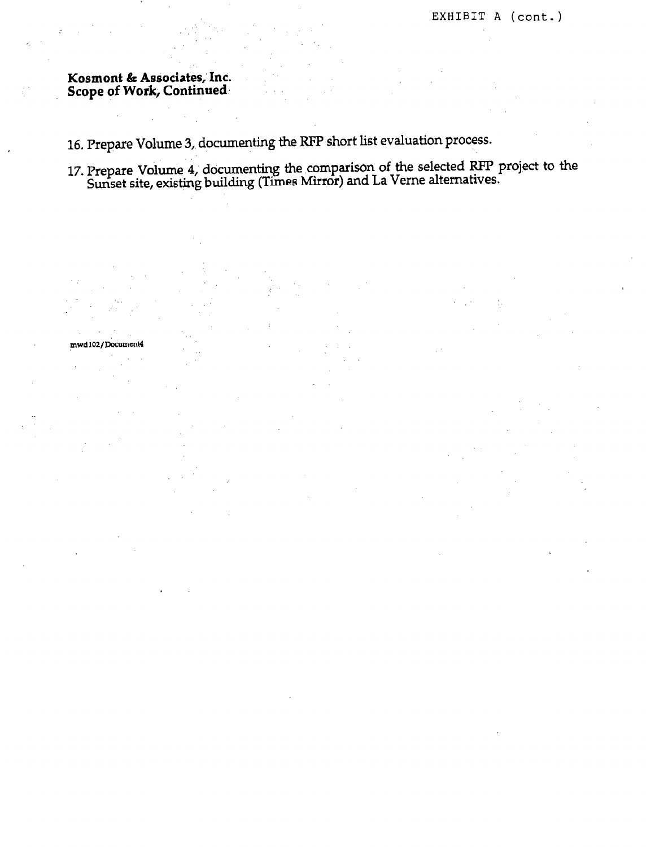Kosmont & Associates, Inc. Scope of Work, Continued.

16. Prepare Volume 3, documenting the RFP short list evaluation process.

17. Prepare Volume 4, documenting the comparison of the selected RFP project to the Sunset site, existing building (Times Mirror) and La Verne alternatives.

mwd102/Document4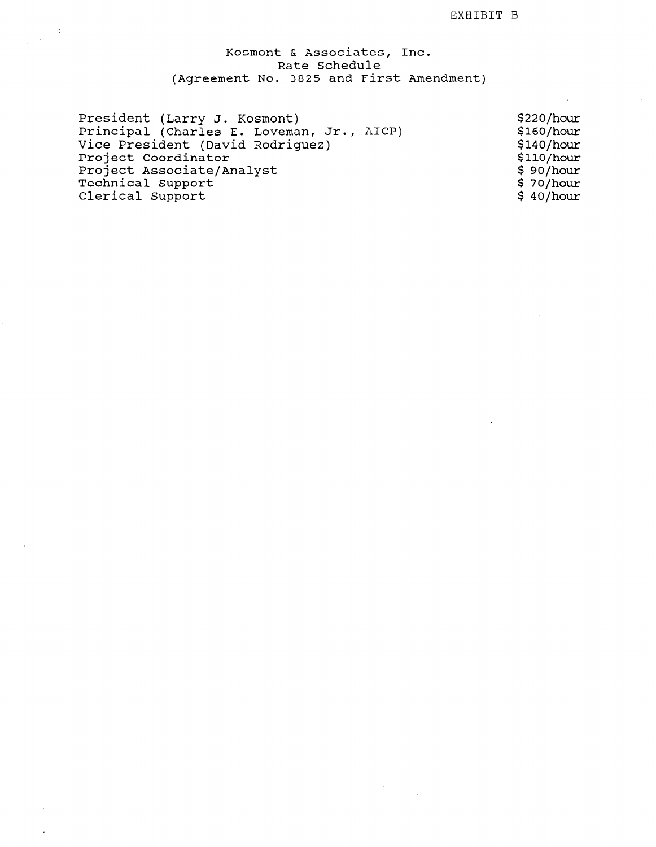## Kosmont & Associates, Inc. Rate Schedul (Agreement No. 3825 and First Amendment)

 $\sim$ 

| President (Larry J. Kosmont)<br>\$220/hour              |  |
|---------------------------------------------------------|--|
| Principal (Charles E. Loveman, Jr., AICP)<br>\$160/hour |  |
| Vice President (David Rodriguez)<br>\$140/hour          |  |
| Project Coordinator<br>\$110/hour                       |  |
| Project Associate/Analyst<br>\$90/hour                  |  |
| Technical Support<br>\$70/hour                          |  |
| Clerical Support<br>\$40/hour                           |  |

 $\sim$